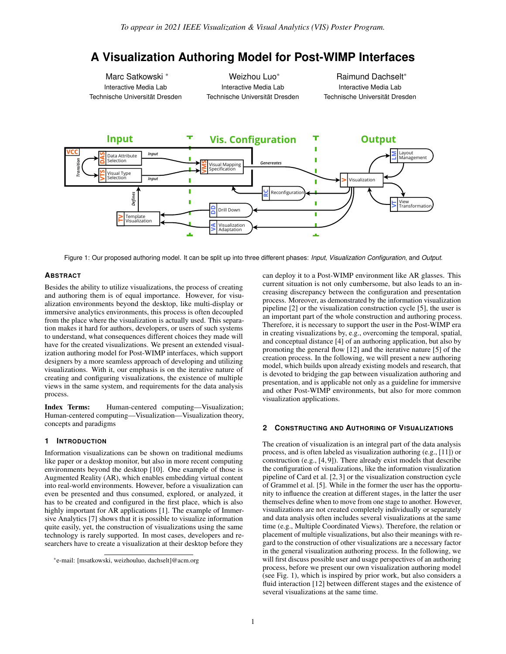# **A Visualization Authoring Model for Post-WIMP Interfaces**

Marc Satkowski \* Interactive Media Lab Technische Universität Dresden

Weizhou Luo\* Interactive Media Lab Technische Universität Dresden

Raimund Dachselt\* Interactive Media Lab Technische Universität Dresden



<span id="page-0-0"></span>Figure 1: Our proposed authoring model. It can be split up into three different phases: *Input*, *Visualization Configuration*, and *Output*.

# **ABSTRACT**

Besides the ability to utilize visualizations, the process of creating and authoring them is of equal importance. However, for visualization environments beyond the desktop, like multi-display or immersive analytics environments, this process is often decoupled from the place where the visualization is actually used. This separation makes it hard for authors, developers, or users of such systems to understand, what consequences different choices they made will have for the created visualizations. We present an extended visualization authoring model for Post-WIMP interfaces, which support designers by a more seamless approach of developing and utilizing visualizations. With it, our emphasis is on the iterative nature of creating and configuring visualizations, the existence of multiple views in the same system, and requirements for the data analysis process.

Index Terms: Human-centered computing—Visualization; Human-centered computing—Visualization—Visualization theory, concepts and paradigms

# **1 INTRODUCTION**

Information visualizations can be shown on traditional mediums like paper or a desktop monitor, but also in more recent computing environments beyond the desktop [\[10\]](#page-1-0). One example of those is Augmented Reality (AR), which enables embedding virtual content into real-world environments. However, before a visualization can even be presented and thus consumed, explored, or analyzed, it has to be created and configured in the first place, which is also highly important for AR applications [\[1\]](#page-1-1). The example of Immersive Analytics [\[7\]](#page-1-2) shows that it is possible to visualize information quite easily, yet, the construction of visualizations using the same technology is rarely supported. In most cases, developers and researchers have to create a visualization at their desktop before they

can deploy it to a Post-WIMP environment like AR glasses. This current situation is not only cumbersome, but also leads to an increasing discrepancy between the configuration and presentation process. Moreover, as demonstrated by the information visualization pipeline [\[2\]](#page-1-3) or the visualization construction cycle [\[5\]](#page-1-4), the user is an important part of the whole construction and authoring process. Therefore, it is necessary to support the user in the Post-WIMP era in creating visualizations by, e.g., overcoming the temporal, spatial, and conceptual distance [\[4\]](#page-1-5) of an authoring application, but also by promoting the general flow [\[12\]](#page-1-6) and the iterative nature [\[5\]](#page-1-4) of the creation process. In the following, we will present a new authoring model, which builds upon already existing models and research, that is devoted to bridging the gap between visualization authoring and presentation, and is applicable not only as a guideline for immersive and other Post-WIMP environments, but also for more common visualization applications.

## **2 CONSTRUCTING AND AUTHORING OF VISUALIZATIONS**

The creation of visualization is an integral part of the data analysis process, and is often labeled as visualization authoring (e.g., [\[11\]](#page-1-7)) or construction (e.g., [\[4,](#page-1-5) [9\]](#page-1-8)). There already exist models that describe the configuration of visualizations, like the information visualization pipeline of Card et al. [\[2,](#page-1-3) [3\]](#page-1-9) or the visualization construction cycle of Grammel et al. [\[5\]](#page-1-4). While in the former the user has the opportunity to influence the creation at different stages, in the latter the user themselves define when to move from one stage to another. However, visualizations are not created completely individually or separately and data analysis often includes several visualizations at the same time (e.g., Multiple Coordinated Views). Therefore, the relation or placement of multiple visualizations, but also their meanings with regard to the construction of other visualizations are a necessary factor in the general visualization authoring process. In the following, we will first discuss possible user and usage perspectives of an authoring process, before we present our own visualization authoring model (see Fig. [1\)](#page-0-0), which is inspired by prior work, but also considers a fluid interaction [\[12\]](#page-1-6) between different stages and the existence of several visualizations at the same time.

<sup>\*</sup>e-mail: [msatkowski, weizhouluo, dachselt]@acm.org